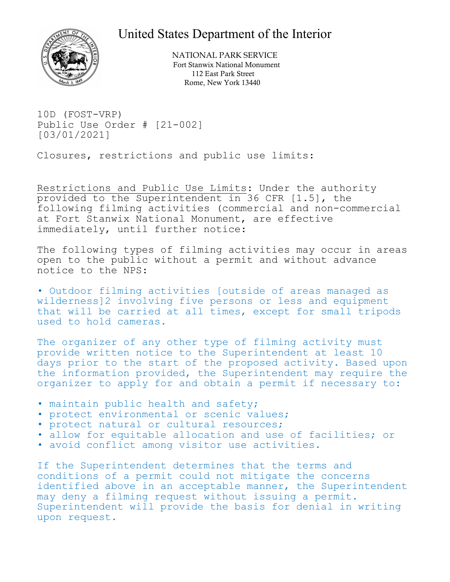## United States Department of the Interior



NATIONAL PARK SERVICE Fort Stanwix National Monument 112 East Park Street Rome, New York 13440

10D (FOST-VRP) Public Use Order # [21-002] [03/01/2021]

Closures, restrictions and public use limits:

Restrictions and Public Use Limits: Under the authority provided to the Superintendent in 36 CFR [1.5], the following filming activities (commercial and non-commercial at Fort Stanwix National Monument, are effective immediately, until further notice:

The following types of filming activities may occur in areas open to the public without a permit and without advance notice to the NPS:

• Outdoor filming activities [outside of areas managed as wilderness]2 involving five persons or less and equipment that will be carried at all times, except for small tripods used to hold cameras.

The organizer of any other type of filming activity must provide written notice to the Superintendent at least 10 days prior to the start of the proposed activity. Based upon the information provided, the Superintendent may require the organizer to apply for and obtain a permit if necessary to:

- maintain public health and safety;
- protect environmental or scenic values;
- protect natural or cultural resources;
- allow for equitable allocation and use of facilities; or
- avoid conflict among visitor use activities.

If the Superintendent determines that the terms and conditions of a permit could not mitigate the concerns identified above in an acceptable manner, the Superintendent<br>may deny a filming request without issuing a permit. Superintendent will provide the basis for denial in writing upon request.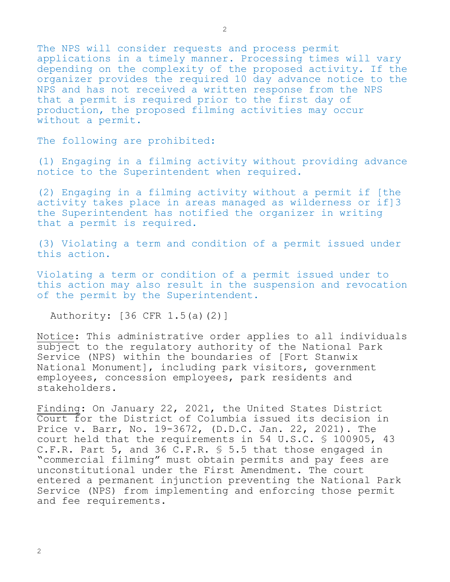The NPS will consider requests and process permit applications in a timely manner. Processing times will vary depending on the complexity of the proposed activity. If the organizer provides the required 10 day advance notice to the NPS and has not received a written response from the NPS that a permit is required prior to the first day of production, the proposed filming activities may occur without a permit.

The following are prohibited:

(1) Engaging in a filming activity without providing advance notice to the Superintendent when required.

(2) Engaging in a filming activity without a permit if [the activity takes place in areas managed as wilderness or if]3 the Superintendent has notified the organizer in writing that a permit is required.

(3) Violating a term and condition of a permit issued under this action.

Violating a term or condition of a permit issued under to this action may also result in the suspension and revocation of the permit by the Superintendent.

Authority: [36 CFR 1.5(a)(2)]

Notice: This administrative order applies to all individuals subject to the regulatory authority of the National Park Service (NPS) within the boundaries of [Fort Stanwix National Monument], including park visitors, government employees, concession employees, park residents and stakeholders.

Finding: On January 22, 2021, the United States District Court for the District of Columbia issued its decision in Price v. Barr, No. 19-3672, (D.D.C. Jan. 22, 2021). The court held that the requirements in 54 U.S.C. § 100905, 43 C.F.R. Part 5, and 36 C.F.R. § 5.5 that those engaged in "commercial filming" must obtain permits and pay fees are unconstitutional under the First Amendment. The court entered a permanent injunction preventing the National Park Service (NPS) from implementing and enforcing those permit and fee requirements.